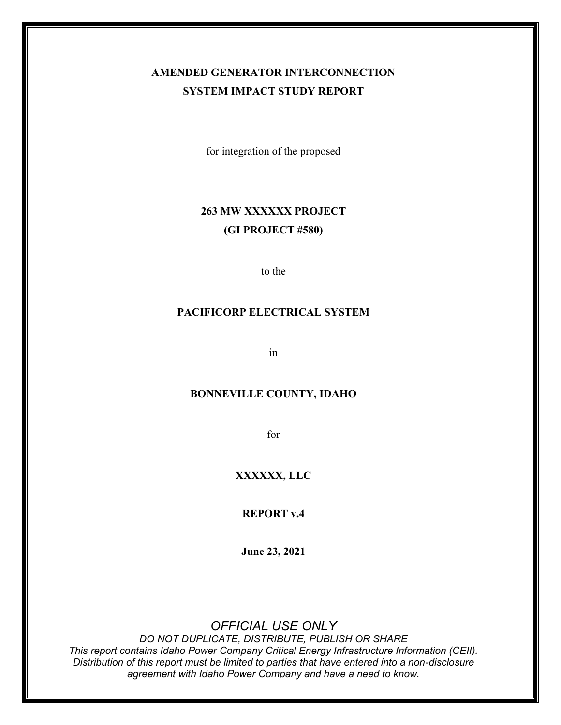## **AMENDED GENERATOR INTERCONNECTION SYSTEM IMPACT STUDY REPORT**

for integration of the proposed

## **263 MW XXXXXX PROJECT (GI PROJECT #580)**

to the

### **PACIFICORP ELECTRICAL SYSTEM**

in

#### **BONNEVILLE COUNTY, IDAHO**

for

### **XXXXXX, LLC**

**REPORT v.4**

**June 23, 2021**

### *OFFICIAL USE ONLY*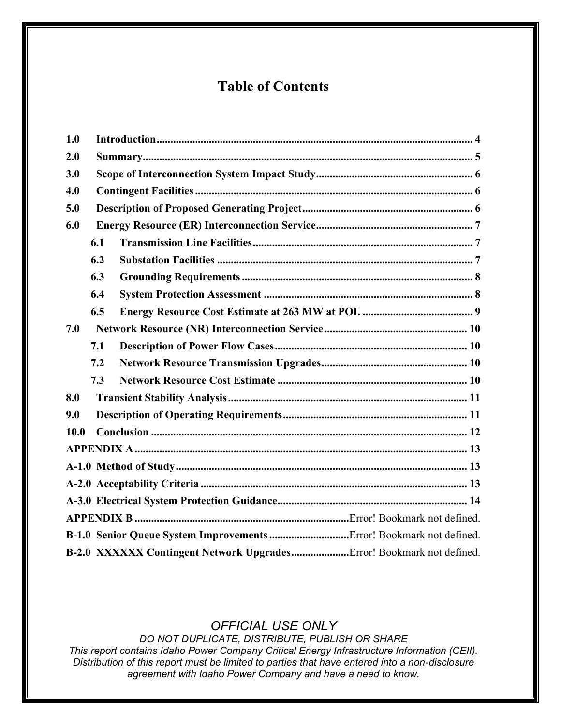# **Table of Contents**

| 1.0  |                                                                      |  |  |  |  |
|------|----------------------------------------------------------------------|--|--|--|--|
| 2.0  |                                                                      |  |  |  |  |
| 3.0  |                                                                      |  |  |  |  |
| 4.0  |                                                                      |  |  |  |  |
| 5.0  |                                                                      |  |  |  |  |
| 6.0  |                                                                      |  |  |  |  |
|      | 6.1                                                                  |  |  |  |  |
|      | 6.2                                                                  |  |  |  |  |
|      | 6.3                                                                  |  |  |  |  |
|      | 6.4                                                                  |  |  |  |  |
|      | 6.5                                                                  |  |  |  |  |
| 7.0  |                                                                      |  |  |  |  |
|      | 7.1                                                                  |  |  |  |  |
|      | 7.2                                                                  |  |  |  |  |
|      | 7.3                                                                  |  |  |  |  |
| 8.0  |                                                                      |  |  |  |  |
| 9.0  |                                                                      |  |  |  |  |
| 10.0 |                                                                      |  |  |  |  |
|      |                                                                      |  |  |  |  |
|      |                                                                      |  |  |  |  |
|      |                                                                      |  |  |  |  |
|      |                                                                      |  |  |  |  |
|      |                                                                      |  |  |  |  |
|      |                                                                      |  |  |  |  |
|      | B-2.0 XXXXXX Contingent Network UpgradesError! Bookmark not defined. |  |  |  |  |

## *OFFICIAL USE ONLY*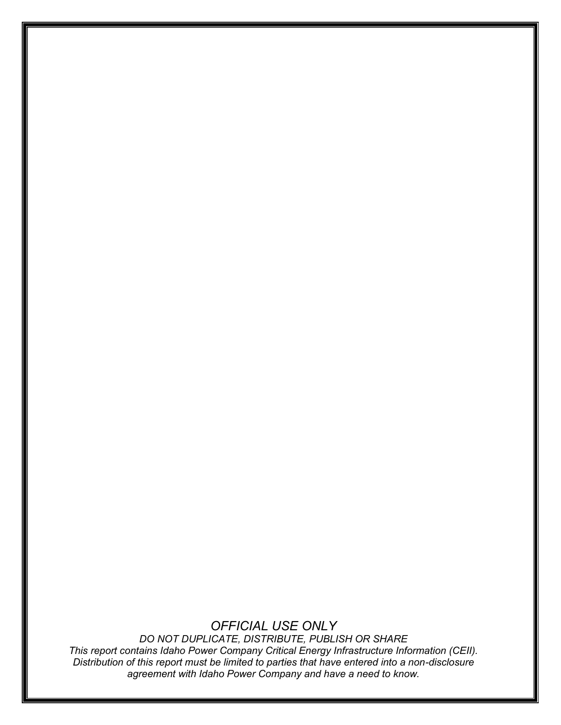## *OFFICIAL USE ONLY*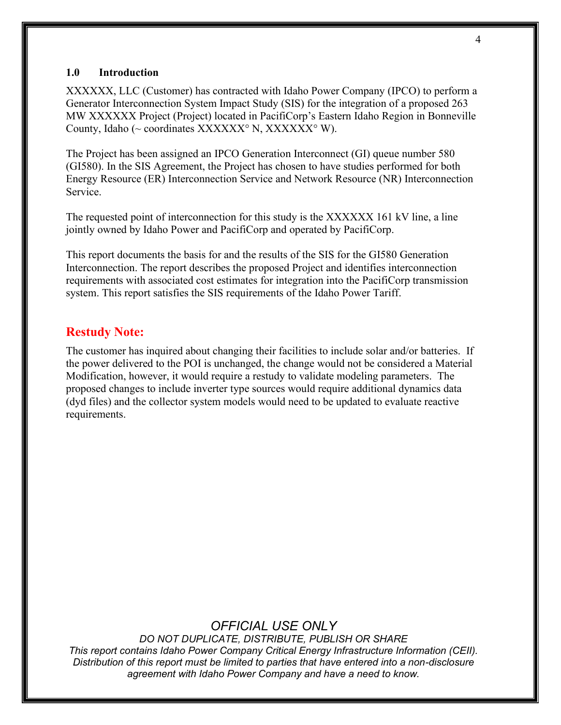#### <span id="page-3-0"></span>**1.0 Introduction**

XXXXXX, LLC (Customer) has contracted with Idaho Power Company (IPCO) to perform a Generator Interconnection System Impact Study (SIS) for the integration of a proposed 263 MW XXXXXX Project (Project) located in PacifiCorp's Eastern Idaho Region in Bonneville County, Idaho ( $\sim$  coordinates XXXXXX<sup>o</sup> N, XXXXXX<sup>o</sup> W).

The Project has been assigned an IPCO Generation Interconnect (GI) queue number 580 (GI580). In the SIS Agreement, the Project has chosen to have studies performed for both Energy Resource (ER) Interconnection Service and Network Resource (NR) Interconnection Service.

The requested point of interconnection for this study is the XXXXXX 161 kV line, a line jointly owned by Idaho Power and PacifiCorp and operated by PacifiCorp.

This report documents the basis for and the results of the SIS for the GI580 Generation Interconnection. The report describes the proposed Project and identifies interconnection requirements with associated cost estimates for integration into the PacifiCorp transmission system. This report satisfies the SIS requirements of the Idaho Power Tariff.

#### **Restudy Note:**

The customer has inquired about changing their facilities to include solar and/or batteries. If the power delivered to the POI is unchanged, the change would not be considered a Material Modification, however, it would require a restudy to validate modeling parameters. The proposed changes to include inverter type sources would require additional dynamics data (dyd files) and the collector system models would need to be updated to evaluate reactive requirements.

### *OFFICIAL USE ONLY*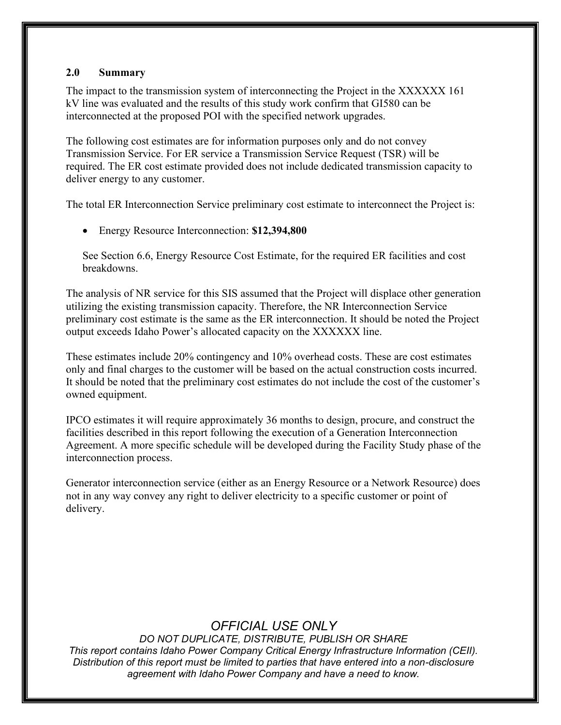#### <span id="page-4-0"></span>**2.0 Summary**

The impact to the transmission system of interconnecting the Project in the XXXXXX 161 kV line was evaluated and the results of this study work confirm that GI580 can be interconnected at the proposed POI with the specified network upgrades.

The following cost estimates are for information purposes only and do not convey Transmission Service. For ER service a Transmission Service Request (TSR) will be required. The ER cost estimate provided does not include dedicated transmission capacity to deliver energy to any customer.

The total ER Interconnection Service preliminary cost estimate to interconnect the Project is:

• Energy Resource Interconnection: **\$12,394,800**

See Section 6.6, Energy Resource Cost Estimate, for the required ER facilities and cost breakdowns.

The analysis of NR service for this SIS assumed that the Project will displace other generation utilizing the existing transmission capacity. Therefore, the NR Interconnection Service preliminary cost estimate is the same as the ER interconnection. It should be noted the Project output exceeds Idaho Power's allocated capacity on the XXXXXX line.

These estimates include 20% contingency and 10% overhead costs. These are cost estimates only and final charges to the customer will be based on the actual construction costs incurred. It should be noted that the preliminary cost estimates do not include the cost of the customer's owned equipment.

IPCO estimates it will require approximately 36 months to design, procure, and construct the facilities described in this report following the execution of a Generation Interconnection Agreement. A more specific schedule will be developed during the Facility Study phase of the interconnection process.

Generator interconnection service (either as an Energy Resource or a Network Resource) does not in any way convey any right to deliver electricity to a specific customer or point of delivery.

## *OFFICIAL USE ONLY*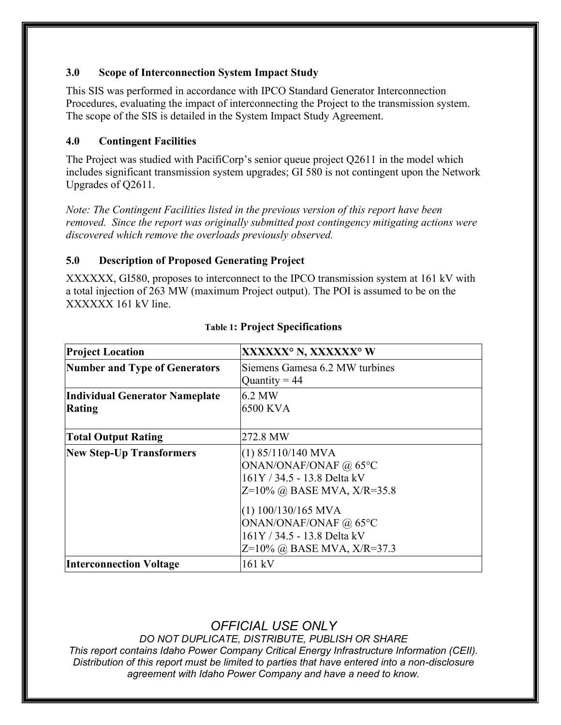### <span id="page-5-0"></span>**3.0 Scope of Interconnection System Impact Study**

This SIS was performed in accordance with IPCO Standard Generator Interconnection Procedures, evaluating the impact of interconnecting the Project to the transmission system. The scope of the SIS is detailed in the System Impact Study Agreement.

### <span id="page-5-1"></span>**4.0 Contingent Facilities**

The Project was studied with PacifiCorp's senior queue project Q2611 in the model which includes significant transmission system upgrades; GI 580 is not contingent upon the Network Upgrades of Q2611.

*Note: The Contingent Facilities listed in the previous version of this report have been removed. Since the report was originally submitted post contingency mitigating actions were discovered which remove the overloads previously observed.*

#### <span id="page-5-2"></span>**5.0 Description of Proposed Generating Project**

XXXXXX, GI580, proposes to interconnect to the IPCO transmission system at 161 kV with a total injection of 263 MW (maximum Project output). The POI is assumed to be on the XXXXXX 161 kV line.

| <b>Project Location</b>               | XXXXXX° N, XXXXXX° W           |
|---------------------------------------|--------------------------------|
| <b>Number and Type of Generators</b>  | Siemens Gamesa 6.2 MW turbines |
|                                       | Quantity = $44$                |
| <b>Individual Generator Nameplate</b> | 6.2 MW                         |
| Rating                                | 6500 KVA                       |
|                                       |                                |
| <b>Total Output Rating</b>            | 272.8 MW                       |
| <b>New Step-Up Transformers</b>       | $(1)$ 85/110/140 MVA           |
|                                       | ONAN/ONAF/ONAF @ 65°C          |
|                                       | 161Y / 34.5 - 13.8 Delta kV    |
|                                       | $Z=10\%$ @ BASE MVA, X/R=35.8  |
|                                       | $(1)$ 100/130/165 MVA          |
|                                       | ONAN/ONAF/ONAF @ 65°C          |
|                                       | 161Y / 34.5 - 13.8 Delta kV    |
|                                       | $Z=10\%$ @ BASE MVA, X/R=37.3  |
| <b>Interconnection Voltage</b>        | 161 kV                         |

#### **Table 1: Project Specifications**

## *OFFICIAL USE ONLY*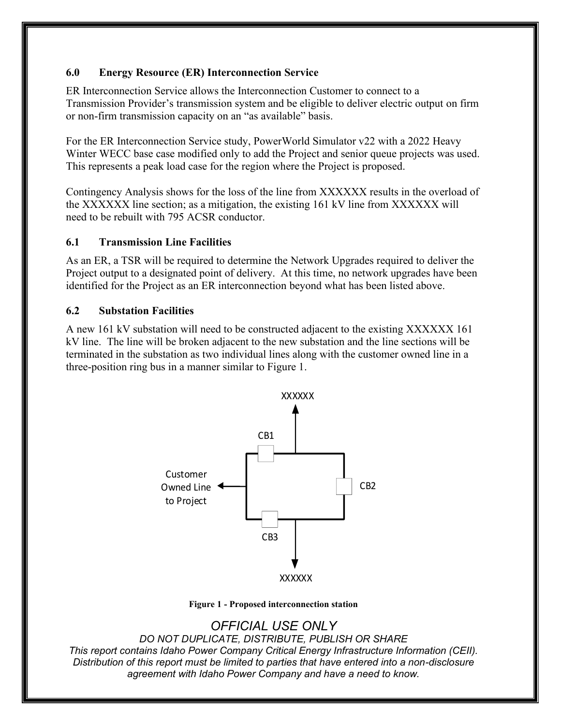### <span id="page-6-0"></span>**6.0 Energy Resource (ER) Interconnection Service**

ER Interconnection Service allows the Interconnection Customer to connect to a Transmission Provider's transmission system and be eligible to deliver electric output on firm or non-firm transmission capacity on an "as available" basis.

For the ER Interconnection Service study, PowerWorld Simulator v22 with a 2022 Heavy Winter WECC base case modified only to add the Project and senior queue projects was used. This represents a peak load case for the region where the Project is proposed.

Contingency Analysis shows for the loss of the line from XXXXXX results in the overload of the XXXXXX line section; as a mitigation, the existing 161 kV line from XXXXXX will need to be rebuilt with 795 ACSR conductor.

#### <span id="page-6-1"></span>**6.1 Transmission Line Facilities**

As an ER, a TSR will be required to determine the Network Upgrades required to deliver the Project output to a designated point of delivery. At this time, no network upgrades have been identified for the Project as an ER interconnection beyond what has been listed above.

#### <span id="page-6-2"></span>**6.2 Substation Facilities**

A new 161 kV substation will need to be constructed adjacent to the existing XXXXXX 161 kV line. The line will be broken adjacent to the new substation and the line sections will be terminated in the substation as two individual lines along with the customer owned line in a three-position ring bus in a manner similar to Figure 1.



**Figure 1 - Proposed interconnection station**

## *OFFICIAL USE ONLY*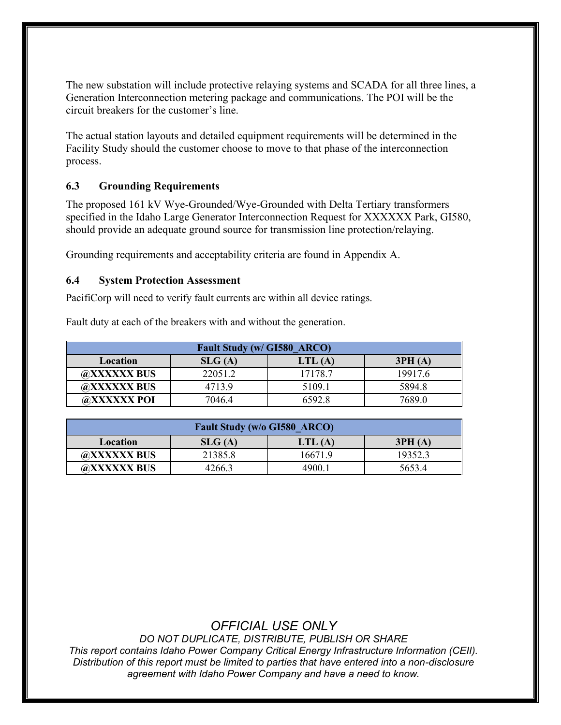The new substation will include protective relaying systems and SCADA for all three lines, a Generation Interconnection metering package and communications. The POI will be the circuit breakers for the customer's line.

The actual station layouts and detailed equipment requirements will be determined in the Facility Study should the customer choose to move to that phase of the interconnection process.

### <span id="page-7-0"></span>**6.3 Grounding Requirements**

The proposed 161 kV Wye-Grounded/Wye-Grounded with Delta Tertiary transformers specified in the Idaho Large Generator Interconnection Request for XXXXXX Park, GI580, should provide an adequate ground source for transmission line protection/relaying.

Grounding requirements and acceptability criteria are found in Appendix A.

#### <span id="page-7-1"></span>**6.4 System Protection Assessment**

PacifiCorp will need to verify fault currents are within all device ratings.

Fault duty at each of the breakers with and without the generation.

| Fault Study (w/ GI580 ARCO) |         |         |         |
|-----------------------------|---------|---------|---------|
| Location                    | SLG(A)  | LTL(A)  | 3PH(A)  |
| @XXXXXX BUS                 | 22051.2 | 17178.7 | 19917.6 |
| @XXXXXX BUS                 | 4713.9  | 5109.1  | 5894.8  |
| @XXXXXX POI                 | 7046.4  | 6592.8  | 7689.0  |

| <b>Fault Study (w/o GI580 ARCO)</b> |         |         |         |
|-------------------------------------|---------|---------|---------|
| Location                            | SLG(A)  | LTL(A)  | 3PH(A)  |
| @XXXXXX BUS                         | 21385.8 | 16671.9 | 19352.3 |
| @XXXXXX BUS                         | 4266.3  | 4900.1  | 5653.4  |

## *OFFICIAL USE ONLY*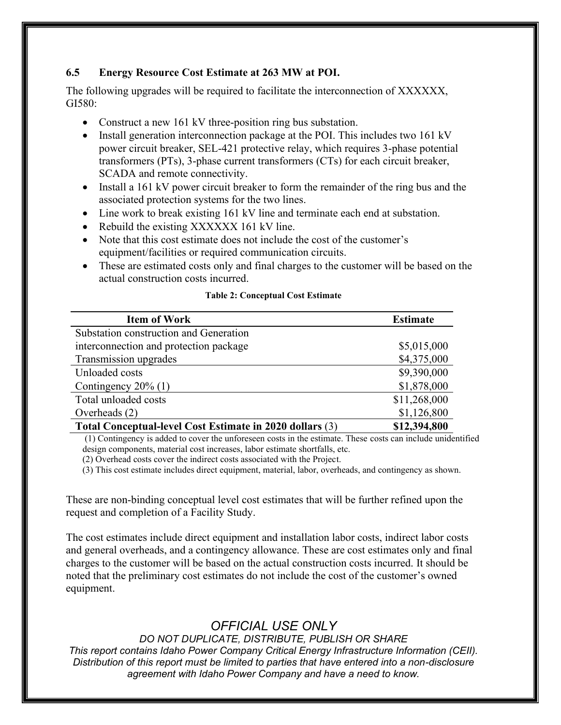### <span id="page-8-0"></span>**6.5 Energy Resource Cost Estimate at 263 MW at POI.**

The following upgrades will be required to facilitate the interconnection of XXXXXX, GI580:

- Construct a new 161 kV three-position ring bus substation.
- Install generation interconnection package at the POI. This includes two 161 kV power circuit breaker, SEL-421 protective relay, which requires 3-phase potential transformers (PTs), 3-phase current transformers (CTs) for each circuit breaker, SCADA and remote connectivity.
- Install a 161 kV power circuit breaker to form the remainder of the ring bus and the associated protection systems for the two lines.
- Line work to break existing 161 kV line and terminate each end at substation.
- Rebuild the existing XXXXXX 161 kV line.
- Note that this cost estimate does not include the cost of the customer's equipment/facilities or required communication circuits.
- These are estimated costs only and final charges to the customer will be based on the actual construction costs incurred.

| <b>Item of Work</b>                                      | <b>Estimate</b> |
|----------------------------------------------------------|-----------------|
| Substation construction and Generation                   |                 |
| interconnection and protection package                   | \$5,015,000     |
| Transmission upgrades                                    | \$4,375,000     |
| Unloaded costs                                           | \$9,390,000     |
| Contingency $20\%$ (1)                                   | \$1,878,000     |
| Total unloaded costs                                     | \$11,268,000    |
| Overheads (2)                                            | \$1,126,800     |
| Total Conceptual-level Cost Estimate in 2020 dollars (3) | \$12,394,800    |

#### **Table 2: Conceptual Cost Estimate**

(1) Contingency is added to cover the unforeseen costs in the estimate. These costs can include unidentified design components, material cost increases, labor estimate shortfalls, etc.

(2) Overhead costs cover the indirect costs associated with the Project.

(3) This cost estimate includes direct equipment, material, labor, overheads, and contingency as shown.

These are non-binding conceptual level cost estimates that will be further refined upon the request and completion of a Facility Study.

The cost estimates include direct equipment and installation labor costs, indirect labor costs and general overheads, and a contingency allowance. These are cost estimates only and final charges to the customer will be based on the actual construction costs incurred. It should be noted that the preliminary cost estimates do not include the cost of the customer's owned equipment.

## *OFFICIAL USE ONLY*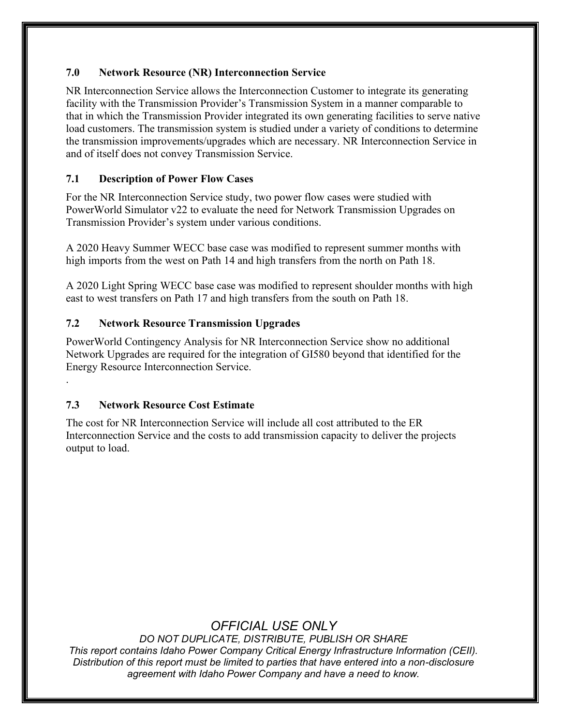### <span id="page-9-0"></span>**7.0 Network Resource (NR) Interconnection Service**

NR Interconnection Service allows the Interconnection Customer to integrate its generating facility with the Transmission Provider's Transmission System in a manner comparable to that in which the Transmission Provider integrated its own generating facilities to serve native load customers. The transmission system is studied under a variety of conditions to determine the transmission improvements/upgrades which are necessary. NR Interconnection Service in and of itself does not convey Transmission Service.

### <span id="page-9-1"></span>**7.1 Description of Power Flow Cases**

For the NR Interconnection Service study, two power flow cases were studied with PowerWorld Simulator v22 to evaluate the need for Network Transmission Upgrades on Transmission Provider's system under various conditions.

A 2020 Heavy Summer WECC base case was modified to represent summer months with high imports from the west on Path 14 and high transfers from the north on Path 18.

A 2020 Light Spring WECC base case was modified to represent shoulder months with high east to west transfers on Path 17 and high transfers from the south on Path 18.

### <span id="page-9-2"></span>**7.2 Network Resource Transmission Upgrades**

PowerWorld Contingency Analysis for NR Interconnection Service show no additional Network Upgrades are required for the integration of GI580 beyond that identified for the Energy Resource Interconnection Service.

#### <span id="page-9-3"></span>**7.3 Network Resource Cost Estimate**

.

The cost for NR Interconnection Service will include all cost attributed to the ER Interconnection Service and the costs to add transmission capacity to deliver the projects output to load.

## *OFFICIAL USE ONLY*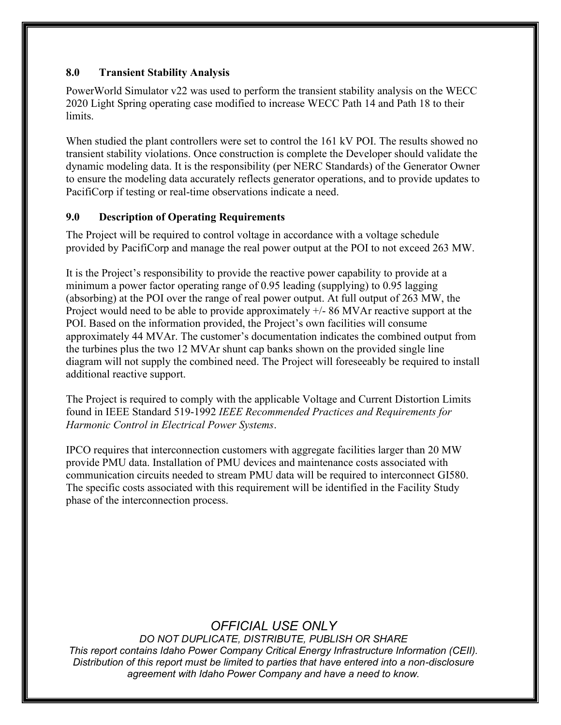### <span id="page-10-0"></span>**8.0 Transient Stability Analysis**

PowerWorld Simulator v22 was used to perform the transient stability analysis on the WECC 2020 Light Spring operating case modified to increase WECC Path 14 and Path 18 to their limits.

When studied the plant controllers were set to control the 161 kV POI. The results showed no transient stability violations. Once construction is complete the Developer should validate the dynamic modeling data. It is the responsibility (per NERC Standards) of the Generator Owner to ensure the modeling data accurately reflects generator operations, and to provide updates to PacifiCorp if testing or real-time observations indicate a need.

### <span id="page-10-1"></span>**9.0 Description of Operating Requirements**

The Project will be required to control voltage in accordance with a voltage schedule provided by PacifiCorp and manage the real power output at the POI to not exceed 263 MW.

It is the Project's responsibility to provide the reactive power capability to provide at a minimum a power factor operating range of 0.95 leading (supplying) to 0.95 lagging (absorbing) at the POI over the range of real power output. At full output of 263 MW, the Project would need to be able to provide approximately  $+/- 86$  MVAr reactive support at the POI. Based on the information provided, the Project's own facilities will consume approximately 44 MVAr. The customer's documentation indicates the combined output from the turbines plus the two 12 MVAr shunt cap banks shown on the provided single line diagram will not supply the combined need. The Project will foreseeably be required to install additional reactive support.

The Project is required to comply with the applicable Voltage and Current Distortion Limits found in IEEE Standard 519-1992 *IEEE Recommended Practices and Requirements for Harmonic Control in Electrical Power Systems*.

IPCO requires that interconnection customers with aggregate facilities larger than 20 MW provide PMU data. Installation of PMU devices and maintenance costs associated with communication circuits needed to stream PMU data will be required to interconnect GI580. The specific costs associated with this requirement will be identified in the Facility Study phase of the interconnection process.

## *OFFICIAL USE ONLY*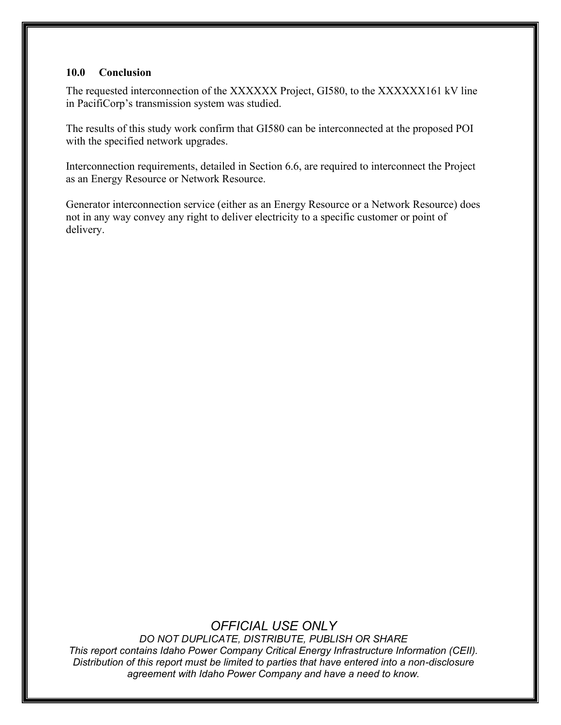#### <span id="page-11-0"></span>**10.0 Conclusion**

The requested interconnection of the XXXXXX Project, GI580, to the XXXXXX161 kV line in PacifiCorp's transmission system was studied.

The results of this study work confirm that GI580 can be interconnected at the proposed POI with the specified network upgrades.

Interconnection requirements, detailed in Section 6.6, are required to interconnect the Project as an Energy Resource or Network Resource.

Generator interconnection service (either as an Energy Resource or a Network Resource) does not in any way convey any right to deliver electricity to a specific customer or point of delivery.

## *OFFICIAL USE ONLY*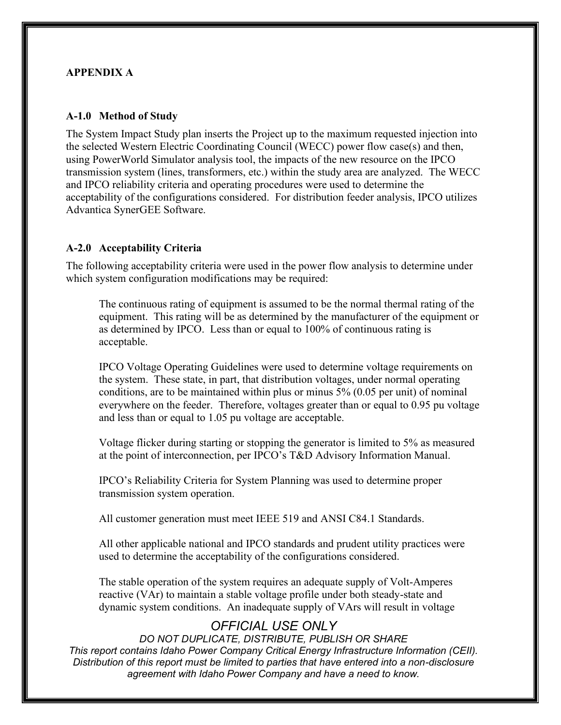#### <span id="page-12-0"></span>**APPENDIX A**

#### <span id="page-12-1"></span>**A-1.0 Method of Study**

The System Impact Study plan inserts the Project up to the maximum requested injection into the selected Western Electric Coordinating Council (WECC) power flow case(s) and then, using PowerWorld Simulator analysis tool, the impacts of the new resource on the IPCO transmission system (lines, transformers, etc.) within the study area are analyzed. The WECC and IPCO reliability criteria and operating procedures were used to determine the acceptability of the configurations considered. For distribution feeder analysis, IPCO utilizes Advantica SynerGEE Software.

#### <span id="page-12-2"></span>**A-2.0 Acceptability Criteria**

The following acceptability criteria were used in the power flow analysis to determine under which system configuration modifications may be required:

The continuous rating of equipment is assumed to be the normal thermal rating of the equipment. This rating will be as determined by the manufacturer of the equipment or as determined by IPCO. Less than or equal to 100% of continuous rating is acceptable.

IPCO Voltage Operating Guidelines were used to determine voltage requirements on the system. These state, in part, that distribution voltages, under normal operating conditions, are to be maintained within plus or minus 5% (0.05 per unit) of nominal everywhere on the feeder. Therefore, voltages greater than or equal to 0.95 pu voltage and less than or equal to 1.05 pu voltage are acceptable.

Voltage flicker during starting or stopping the generator is limited to 5% as measured at the point of interconnection, per IPCO's T&D Advisory Information Manual.

IPCO's Reliability Criteria for System Planning was used to determine proper transmission system operation.

All customer generation must meet IEEE 519 and ANSI C84.1 Standards.

All other applicable national and IPCO standards and prudent utility practices were used to determine the acceptability of the configurations considered.

The stable operation of the system requires an adequate supply of Volt-Amperes reactive (VAr) to maintain a stable voltage profile under both steady-state and dynamic system conditions. An inadequate supply of VArs will result in voltage

## *OFFICIAL USE ONLY*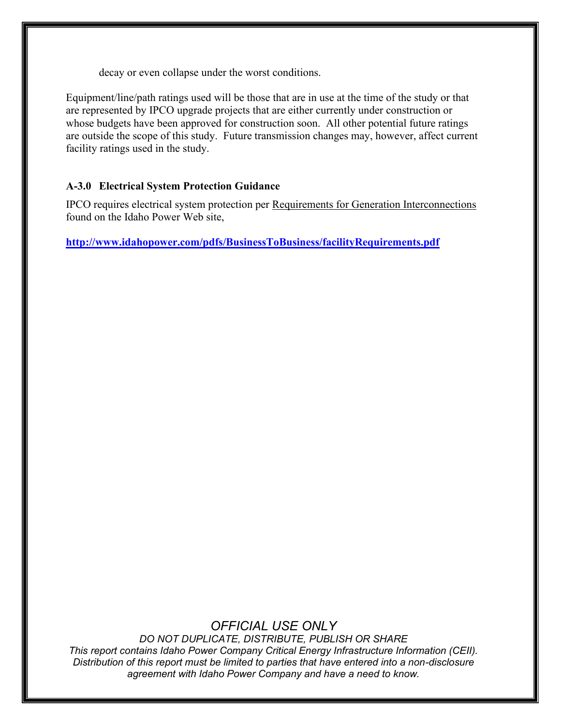decay or even collapse under the worst conditions.

Equipment/line/path ratings used will be those that are in use at the time of the study or that are represented by IPCO upgrade projects that are either currently under construction or whose budgets have been approved for construction soon. All other potential future ratings are outside the scope of this study. Future transmission changes may, however, affect current facility ratings used in the study.

### <span id="page-13-0"></span>**A-3.0 Electrical System Protection Guidance**

IPCO requires electrical system protection per Requirements for Generation Interconnections found on the Idaho Power Web site,

**<http://www.idahopower.com/pdfs/BusinessToBusiness/facilityRequirements.pdf>**

## *OFFICIAL USE ONLY*